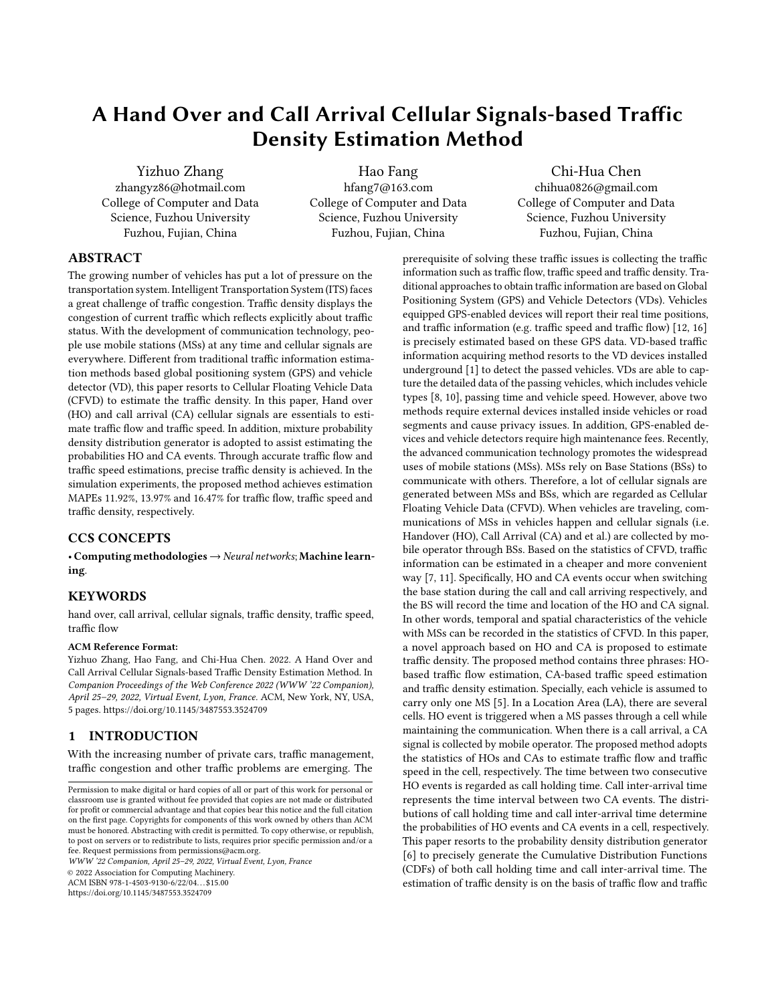# A Hand Over and Call Arrival Cellular Signals-based Traffic Density Estimation Method

[Yizhuo Zhang](https://orcid.org/0000-0001-9177-4412) zhangyz86@hotmail.com College of Computer and Data Science, Fuzhou University Fuzhou, Fujian, China

[Hao Fang](https://orcid.org/0000-0002-2149-2310) hfang7@163.com College of Computer and Data Science, Fuzhou University Fuzhou, Fujian, China

[Chi-Hua Chen](https://orcid.org/0000-0001-7668-7425) chihua0826@gmail.com College of Computer and Data Science, Fuzhou University Fuzhou, Fujian, China

# ABSTRACT

The growing number of vehicles has put a lot of pressure on the transportation system. Intelligent Transportation System (ITS) faces a great challenge of traffic congestion. Traffic density displays the congestion of current traffic which reflects explicitly about traffic status. With the development of communication technology, people use mobile stations (MSs) at any time and cellular signals are everywhere. Different from traditional traffic information estimation methods based global positioning system (GPS) and vehicle detector (VD), this paper resorts to Cellular Floating Vehicle Data (CFVD) to estimate the traffic density. In this paper, Hand over (HO) and call arrival (CA) cellular signals are essentials to estimate traffic flow and traffic speed. In addition, mixture probability density distribution generator is adopted to assist estimating the probabilities HO and CA events. Through accurate traffic flow and traffic speed estimations, precise traffic density is achieved. In the simulation experiments, the proposed method achieves estimation MAPEs 11.92%, 13.97% and 16.47% for traffic flow, traffic speed and traffic density, respectively.

## CCS CONCEPTS

• Computing methodologies  $\rightarrow$  Neural networks; Machine learning.

## KEYWORDS

hand over, call arrival, cellular signals, traffic density, traffic speed, traffic flow

#### ACM Reference Format:

Yizhuo Zhang, Hao Fang, and Chi-Hua Chen. 2022. A Hand Over and Call Arrival Cellular Signals-based Traffic Density Estimation Method. In Companion Proceedings of the Web Conference 2022 (WWW '22 Companion), April 25–29, 2022, Virtual Event, Lyon, France. ACM, New York, NY, USA, [5](#page-4-0) pages.<https://doi.org/10.1145/3487553.3524709>

### 1 INTRODUCTION

With the increasing number of private cars, traffic management, traffic congestion and other traffic problems are emerging. The

WWW '22 Companion, April 25–29, 2022, Virtual Event, Lyon, France

© 2022 Association for Computing Machinery.

ACM ISBN 978-1-4503-9130-6/22/04. . . \$15.00 <https://doi.org/10.1145/3487553.3524709>

prerequisite of solving these traffic issues is collecting the traffic information such as traffic flow, traffic speed and traffic density. Traditional approaches to obtain traffic information are based on Global Positioning System (GPS) and Vehicle Detectors (VDs). Vehicles equipped GPS-enabled devices will report their real time positions, and traffic information (e.g. traffic speed and traffic flow) [\[12,](#page-4-1) [16\]](#page-4-2) is precisely estimated based on these GPS data. VD-based traffic information acquiring method resorts to the VD devices installed underground [\[1\]](#page-4-3) to detect the passed vehicles. VDs are able to capture the detailed data of the passing vehicles, which includes vehicle types [\[8,](#page-4-4) [10\]](#page-4-5), passing time and vehicle speed. However, above two methods require external devices installed inside vehicles or road segments and cause privacy issues. In addition, GPS-enabled devices and vehicle detectors require high maintenance fees. Recently, the advanced communication technology promotes the widespread uses of mobile stations (MSs). MSs rely on Base Stations (BSs) to communicate with others. Therefore, a lot of cellular signals are generated between MSs and BSs, which are regarded as Cellular Floating Vehicle Data (CFVD). When vehicles are traveling, communications of MSs in vehicles happen and cellular signals (i.e. Handover (HO), Call Arrival (CA) and et al.) are collected by mobile operator through BSs. Based on the statistics of CFVD, traffic information can be estimated in a cheaper and more convenient way [\[7,](#page-4-6) [11\]](#page-4-7). Specifically, HO and CA events occur when switching the base station during the call and call arriving respectively, and the BS will record the time and location of the HO and CA signal. In other words, temporal and spatial characteristics of the vehicle with MSs can be recorded in the statistics of CFVD. In this paper, a novel approach based on HO and CA is proposed to estimate traffic density. The proposed method contains three phrases: HObased traffic flow estimation, CA-based traffic speed estimation and traffic density estimation. Specially, each vehicle is assumed to carry only one MS [\[5\]](#page-4-8). In a Location Area (LA), there are several cells. HO event is triggered when a MS passes through a cell while maintaining the communication. When there is a call arrival, a CA signal is collected by mobile operator. The proposed method adopts the statistics of HOs and CAs to estimate traffic flow and traffic speed in the cell, respectively. The time between two consecutive HO events is regarded as call holding time. Call inter-arrival time represents the time interval between two CA events. The distributions of call holding time and call inter-arrival time determine the probabilities of HO events and CA events in a cell, respectively. This paper resorts to the probability density distribution generator [\[6\]](#page-4-9) to precisely generate the Cumulative Distribution Functions (CDFs) of both call holding time and call inter-arrival time. The estimation of traffic density is on the basis of traffic flow and traffic

Permission to make digital or hard copies of all or part of this work for personal or classroom use is granted without fee provided that copies are not made or distributed for profit or commercial advantage and that copies bear this notice and the full citation on the first page. Copyrights for components of this work owned by others than ACM must be honored. Abstracting with credit is permitted. To copy otherwise, or republish, to post on servers or to redistribute to lists, requires prior specific permission and/or a fee. Request permissions from permissions@acm.org.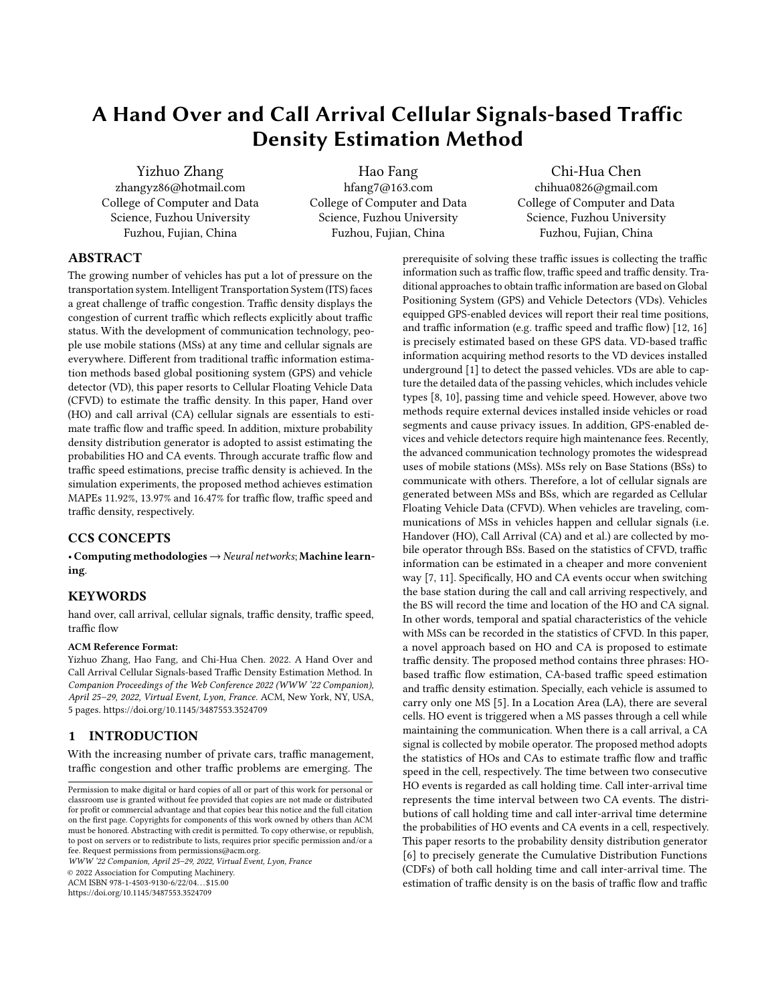WWW '22 Companion, April 25–29, 2022, Virtual Event, Lyon, France Yizhuo Zhang, Hao Fang, & Chi-Hua Chen

speed. The main contributions of this paper are summarized as follows:

- This paper proposes novel CFVD-based statistical approaches to accurately estimate traffic flow, traffic speed and traffic density.
- The experiments adopts VISSIM software to generate highway simulation environment in Taicang, China and CFVD is also generated randomly. The experimental results have achieved high accuracy on traffic flow, traffic speed and traffic density estimations.

## 2 RELATED WORK

In recent researches, GPS-based traffic information estimation approaches [\[2,](#page-4-10) [17\]](#page-4-11) can achieve high accuracy. However, the collected traffic information is reliable when there are certain amount of vehicles installed GPS-enable devices [\[4\]](#page-4-12). Moreover, GPS requires detailed information of the running vehicles which causes privacy issues. VD-based traffic information collection method will record vehicle types, time and speed, which to some extent avoids privacy issues. VDs are always installed underground to detect the passing vehicles [\[10,](#page-4-5) [15\]](#page-4-13). With the aging VDs, the accuracy of detection cannot be proved and replacements of VDs require substantial investment. Currently, MSs are everywhere and produce cellular signals such as HO, CA, Normal Location Update (NLU) and Periodic Location Update (PLU). Researchers analyzed the relationship between the variation of CFVD and people communicating to infer the traffic status [\[3\]](#page-4-14). CFVD-based traffic information estimation spends less resources and achieves low estimation errors. Demissie et al. used HO signals to construct a multinomial logit (MNL) model and artificial neural network (ANN) to estimate road traffic status [\[9\]](#page-4-15). HO signals were used to obtain traffic flow level in real-time [\[13\]](#page-4-16). Besides, the authors adopted a support vector machine to extract the relations between HO events data and traffic flow levels. Chen et al. combined NLU and CA signals to effectively estimate traffic speed [\[5\]](#page-4-8). They also applied machine learning techniques to improve the estimation accuracy. PLU signals are sensitive to the position change in certain period. Thus, Lin et al. [\[14\]](#page-4-17) extracted features from communication behaviors and utilized PLU signals to estimate traffic density. CFVD-based estimation methods requires less resources and performs well on estimating traffic information. In addition, these methods are privacy friendly since estimating traffic information is not direct from vehicle data.

# 3 A HAND OVER-BASED TRAFFIC FLOW ESTIMATION METHOD

In cellular network, the signal range of BS is finite. If the MS moves out of signal range of the BS, the MS will connect to the new BS to maintain the call. As shown in Figure [1,](#page-1-0) there is a call arrival at  $t_0$  and the call holds for  $t_h$ . Since MS moves from  $Cell_{i-1}$  to  $Cell_i$ in  $t<sub>h</sub>$ , a HO event happens at  $t<sub>1</sub>$  which denotes the change of BS. This study utilizes the number of HO event happened in the cell to estimate traffic flow under assumption that each vehicle carries one MS. Figure [2](#page-1-1) illustrates two scenarios of HO event at the cell boundary. In the first scenario, the call arrives at  $t_0$  shuts down before the MS leaves  $Cell_{i-1}$ . In other words, the time difference  $x_h = t_1 - t_0$ is larger than the call holding time  $t<sub>h</sub>$ . In the second scenario, HO

<span id="page-1-0"></span>

Figure 1: Common hand over event.

<span id="page-1-1"></span>

Figure 2: Two scenarios of hand over event.

<span id="page-1-2"></span>

Figure 3: The structure of CDF generator Neuron Network.

event occurs at  $t_1$  when  $x_h < t_h$ . The probability and number of HO events at  $t_1$  are used to estimate traffic flow  $q_i$  in  $Cell_i$ . To obtain the probability of HO event (i.e.  $Pr(x_h < t_h)$ ) at  $t_1$ , the probability density distribution of  $t<sub>h</sub>$  is necessary. This paper adopts mixture probability density distribution to approximate the practical probability density distribution of  $t<sub>h</sub>$ . In addition, the mixture probability density distribution is consist of exponential distribution (ED), normal distribution (ND) and lognormal distribution (LD). The mixture CDF of  $t_h$  is represented as  $F_{t_h}(x_h)$ , which is shown in Equation [1.](#page-2-0)  $\frac{1}{\lambda_1}$  is the expectation of ED.  $\mu_1$  and  $\sigma_1$  denote mean and variance of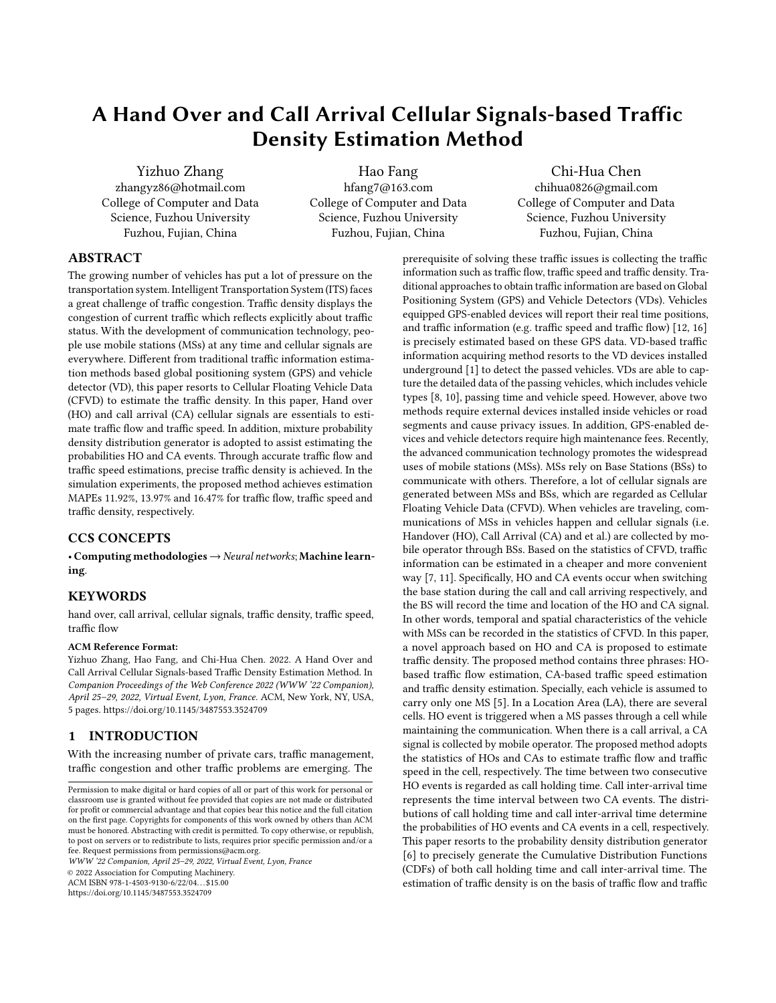ND, respectively. Similarly,  $\mu_2$  and  $\sigma_2$  represent mean and variance for LD.  $w_{11}$ ,  $w_{12}$  and  $w_{13}$  are weights for ED, ND and LD. Moreover, CDF is generated by Neuron Network-based probability density distribution generator from [\[6\]](#page-4-9). Since mixing more probability density distributions will increase the computational complexity, this paper only adopts three common distributions from the original paper [\[6\]](#page-4-9). The structure of NN is displayed in Figure [3.](#page-1-2) The parameters to train in NN are the same in Equation [1.](#page-2-0) The activation functions of neurons are CDF functions of ED, ND and LD, respectively. The final output is the CDF value of  $F_{t_h}(x_h)$ . The number of HO events at Cell<sub>i</sub> is denoted as  $h_i$ . Although not all vehicles crossing the cell boundary will trigger HO event, there are more HO events at the cell boundary with the increase of traffic flow. The relationships of traffic flow and the probability and the number of HO events are illustrated in Equation [2.](#page-2-1) Based on Equation [2,](#page-2-1) traffic flow  $q_i$  is obtained in Equation [3.](#page-2-2)

<span id="page-2-0"></span>
$$
F_{t_h}(x_h) = w_{11} \times e^{\lambda_1 x_h} + w_{12} \times \frac{1}{2} (1 - erf(\frac{x_h - \mu_1}{\sigma_1 \sqrt{2}}))
$$
  
+  $w_{13} \times (1 - erf(\frac{ln(x_h) - \mu_2}{\sigma_2 \sqrt{2}})).$  (1)

<span id="page-2-1"></span>
$$
h_{i} = q_{i} \times \int_{x_{h}=0}^{\infty} Pr(x_{h} < t_{h}) dx_{h}
$$
  
\n
$$
= q_{i} \times \int_{x_{h}=0}^{\infty} F_{t_{h}}(\infty) - F_{t_{h}}(x_{h}) dx_{h}
$$
  
\n
$$
= \frac{q_{i}}{w_{11} + w_{12} + w_{13}} \times \int_{x_{h}=0}^{\infty} (w_{11} \times e^{\lambda_{1}x_{h}} + w_{12} \times
$$
  
\n
$$
\frac{1}{2} (1 - erf(\frac{x_{h} - \mu_{1}}{\sigma_{1} \sqrt{2}})) + w_{13} \times (1 - erf(\frac{\ln(x_{h}) - \mu_{2}}{\sigma_{2} \sqrt{2}}))) dx_{h}
$$
  
\n
$$
= \frac{q_{i}}{w_{11} + w_{12} + w_{13}} \times (\frac{w_{11}}{\lambda_{1}} + \frac{1}{2} w_{12} \times (\mu_{1} - \mu_{1} erf(\frac{-\mu_{1}}{\sigma_{1} \sqrt{2}})) + \sqrt{\frac{2}{\pi}} \sigma_{1} e^{-\frac{(\mu_{1}^{2}}{2\sigma_{1}^{2}})} + w_{13} \times e^{\frac{\sigma_{2}^{2}}{2} + \mu_{2}}).
$$
  
\n(2)

<span id="page-2-2"></span>
$$
q_{i} = h_{i} \times (w_{11} + w_{12} + w_{13}) \times (\frac{w_{11}}{\lambda_{1}} + \frac{1}{2}w_{12} \times
$$
  

$$
(\mu_{1} - \mu_{1} erf(\frac{-\mu_{1}}{\sigma_{1} \sqrt{2}}) + \sqrt{\frac{2}{\pi}} \sigma_{1} e^{(-\frac{\mu_{1}^{2}}{2\sigma_{1}^{2}})} + w_{13} \times e^{\frac{\sigma_{2}^{2}}{2} + \mu_{2}}).
$$
<sup>(3)</sup>

## 4 A CALL ARRIVAL-BASED TRAFFIC SPEED ESTIMATION METHOD

When there is a call arrival to a MS, the connected BS will record the CA event. Therefore, the number of CA events in a cell is available in the statistics of CFVD. When a vehicle passing the cell with high speed, the probability of CA events is very small, and vice versa. Therefore, this paper resorts to the probability and the number of CA events to estimate traffic speed in the cell. In Figure [4,](#page-3-0)  $t_c$  is call inter-arrival time and  $x_c = t_1 - t_0$  represents the time difference from the first call arrival to entering the next cell. The length of the  $Cell_i$  is  $l_i$  and the estimated traffic speed is denoted as  $v_i$ . Therefore, the traveling time in  $Cell_i$  is calculated as  $\frac{l_i}{v_i}$ . When  $x_c < t_c < x_c + \frac{l_i}{v_i}$ , CA events happen inside Cell<sub>i</sub>. The

probability of CA events triggered in Cell<sub>i</sub> is  $Pr(x_c < t_c < x_c + \frac{l_i}{v_i})$ . The mixture probability density distribution of  $t_c$  consists of ED, ND and LD, and  $F_{t_c}$  denotes the CDF of  $t_c$ .  $F_{t_c}$  is trained by NNbased CDF generator with the same structure mentioned in Section 3. Furthermore, NN is trained by the practical call-inter-arrival time data. The calculation of  $F_{t_c}$  is shown in Equation [4.](#page-2-3)  $\lambda_2$ ,  $\mu_3$  and  $\sigma_3$ ,  $\mu_4$  and  $\sigma_4$  are parameters for ED, ND and LD, respectively.  $w_{21}, w_{22}$ and  $w_{23}$  are the corresponding weights for ED, ND and LD. Based on the traffic flow  $q_i$  and the probability of CA events in  $Cell_i$ , the amount of CA events  $c_i$  in Cell<sub>i</sub> is calculated in Equation [5.](#page-2-4) Since it is hard to derive  $v_i$  directly from Equation [5,](#page-2-4) this paper adopts Newton down-hill method to obtain an approximate solution which satisfies the error  $\varepsilon$  < 0.00001. The specific process is demonstrated in Equation [6](#page-2-5)[-9.](#page-2-6) In Equation [7,](#page-2-7)  $w_k$  is the the iterative parameter of Newton down-hill method. After several rounds of iteration, the estimated traffic speed  $v_i$  is obtained.

<span id="page-2-3"></span>
$$
F_{t_c}(x) = w_{21} \times e^{\lambda_2 x} + w_{22} \times \frac{1}{2} (1 - erf(\frac{x - \mu_3}{\sigma_3 \sqrt{2}}))
$$
  
+  $w_{23} \times (1 - erf(\frac{ln(x) - \mu_4}{\sigma_4 \sqrt{2}})).$   
(4)  

$$
= q_i \times \int_{x_c=0}^{\infty} Pr(x_c < t_c < x_c + \frac{l_i}{v_i}) dx
$$
  
=  $q_i \times \int_{x_c=0}^{\infty} F_{t_c}(x_c + \frac{l_i}{v_i}) - F_{t_c}(x_c) dx$   
=  $-\frac{q_i}{2(w_{21} + w_{22} + w_{23})} \times (\frac{2w_{21}}{\lambda_2} (e^{\lambda_2 \frac{l_i}{v_i}} - 1)$   
+  $w_{22} \sqrt{\frac{2}{\pi}} \sigma_3 e^{-(\frac{\mu_3}{\sigma_3 \sqrt{2}})^2} (e^{\frac{\mu_3^2 - (\frac{l_i}{v_i} - \mu_3)^2}{2\sigma_3^2}} - 1)$   
+  $w_{22} (-\frac{l_i}{v_i} + (\frac{l_i}{v_i} - \mu_3) erf(\frac{\frac{l_i}{v_i} - \mu_3}{\sigma_3 \sqrt{2}}) + \mu_3 erf(-\frac{\mu_3}{\sigma_3 \sqrt{2}}))$   
+  $w_{23} (-\frac{l_i}{v_i} + e^{\frac{\sigma_3^2}{2} + \mu_4} (erf(\frac{\sigma_4^2 + \mu_4 - ln(\frac{l_i}{v_i})}{\sigma_4 \sqrt{2}})) - 1)$   
+  $\frac{l_i}{v_i} erf(\frac{ln(\frac{l_i}{v_i}) - \mu_4}{\sigma_4 \sqrt{2}}))$ .  
 $f(v_k) = c_i - q_i \times \int_{x_c=0}^{\infty} Pr(x_c < t_c < x_c + \frac{l_i}{v_i}) dx,$  (6)

<span id="page-2-4"></span> $c_i$ 

<span id="page-2-7"></span><span id="page-2-5"></span>
$$
v_{k+1} = v_k - w_k \frac{f(v_k)}{f'(v_k)},
$$
\n(7)

$$
\varepsilon = |f(v_{k+1} - 0)|,\tag{8}
$$

<span id="page-2-6"></span>
$$
v_i = v_{k+1},\tag{9}
$$

# 5 CELLULAR SIGNALS-BASED TRAFFIC DENSITY ESTIMATION METHOD

Traffic density is an important indicator for traffic status. The definition of traffic density  $K$  is defined in Equation [10,](#page-3-1) where  $Q$  and  $V$ denote the traffic flow and traffic speed, respectively. Based on the proposed CFVD-based traffic information estimation method, traffic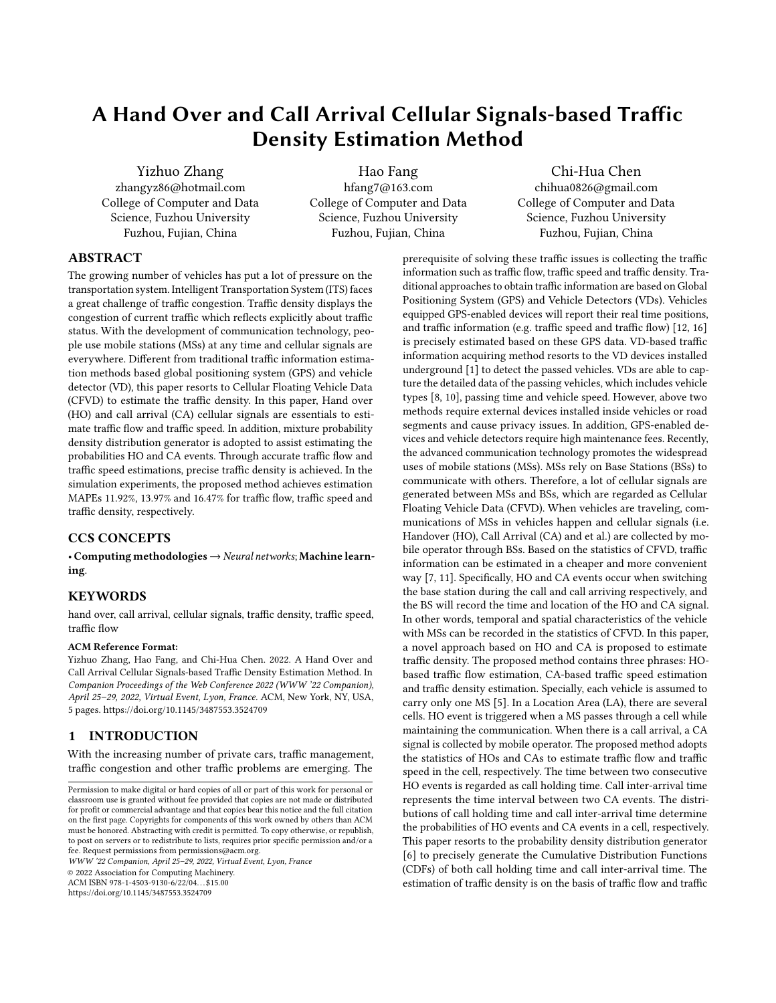WWW '22 Companion, April 25–29, 2022, Virtual Event, Lyon, France Yizhuo Zhang, Hao Fang, & Chi-Hua Chen

<span id="page-3-0"></span>

Figure 4: Two scenarios of call arrival event.

<span id="page-3-3"></span>

Figure 5: Simulated 3-lane highway.

flow  $q_{HO}$  and traffic speed  $v_{CA}$  in the cell are obtained. Therefore, cellular signals-based traffic density  $k$  is calculated in Equation [11.](#page-3-2)

<span id="page-3-1"></span>
$$
K = \frac{Q}{V},\tag{10}
$$

<span id="page-3-2"></span>
$$
k = \frac{q_{HO}}{v_{CA}},\tag{11}
$$

#### 6 EXPERIMENTAL RESULTS

In this section, the detail of experimental results are introduced in this section. All experiments are run on simulation environment generated by VISSIM software. Experimental settings are illustrated specifically in Subsection 6.1. The experimental results and analysis is demonstrated in Subsection 6.2.

#### 6.1 Experimental Settings

In the simulation traffic environment generated by VISSIM software, there is a 3-lane highway with 10 kilometers long. Traffic behaviors are simulated based on the simulation dataset from VISSIM. Drivers in the highway are free to change their lanes and follow other vehicles. The highway is shown in Figure [5.](#page-3-3) For each lane, there are 11 VDs installed with 1 kilometers interval underground to obtain the practical traffic information. Besides, the length of the cell is also set 1 kilometers. The length of traffic information collection time is 24 hours. There is only one MS in each vehicle for collecting CFVD. Call holding time and call inter-arrival time are randomly sampled from two mixture probability density distributions (i.e.  $P_{HO}$  and  $P_{CA}$ ) shown in Equation [12](#page-3-4) and [13.](#page-3-5) Both  $P_{HO}$  and  $P_{CA}$  consist of ED, ND and LD. Parameters settings of two distributions are shown in Table-setting. To verify the accuracy of the proposed method, mean absolute percentage error (MAPE) (Shown in Equation [14\)](#page-3-6) is selected for performance metric. The practical traffic data (i.e. traffic flow, traffic speed and traffic density) is obtained from the VDs in the highway. For CFVD collection, HO events are recorded when  $x_h < t_h$ .  $x_h$  is randomly sampled from  $P_{HO}$ . The BS recording call arrival signals when there are calls coming. When last call arrives,  $t_c$  will be sampled from  $P_{CA}$  and the time for the next call is set.

<span id="page-3-4"></span>
$$
P_{HO}(x) = w_{31} \times e^{\lambda_{HO}x} + w_{32} \times \frac{1}{2} (1 - erf(\frac{x - \mu_{HO}}{\sigma_{HO} \sqrt{2}})) + w_{33} \times (1 - erf(\frac{ln(x) - \mu_{HO}}{\sigma_{HO} \sqrt{2}})).
$$
\n(12)

<span id="page-3-5"></span>
$$
P_{CA}(x) = w_{41} \times e^{\lambda_{CA}x} + w_{42} \times \frac{1}{2} (1 - erf(\frac{x - \mu_{CA}}{\sigma_{CA} \sqrt{2}})) + w_{43} \times (1 - erf(\frac{\ln(x) - \mu_{CA}}{\sigma_{CA} \sqrt{2}})).
$$
\n(13)

<span id="page-3-6"></span>
$$
MAPE = \frac{1}{N} \sum_{i=1}^{N} |\frac{\hat{y} - y}{y}| \times 100\% \tag{14}
$$

#### 6.2 Results Analysis

Based on the collected CFVD, two NN-based probability density distribution generators are trained for generating precise CDFs of call holding time and call inter-arrival time. In Figure [5,](#page-3-3) there are 10 cells in total. Experimental results of  $Cell_2$  are displayed as examples to show the performance of traffic information estimation in 24 hours. As shown in Figure [6,](#page-4-18) the practical traffic flow rises rapidly at 7 a.m and declines at 5 p.m. Furthermore, in Figure [7,](#page-4-19) traffic speed is relative slow from 7 a.m to 10 p.m while the traffic flow is high at the same time period. Both HO-based traffic flow estimation and CA-based traffic speed estimation have learned the variation trend of the practical traffic. According to the Equation [11,](#page-3-2) traffic density is obtained and Figure [8](#page-4-20) shows that the estimated traffic density is approximate to the practical traffic density in  $Cell_2$ . In the experiments, MAPEs of proposed traffic information estimation methods in Cell<sub>2</sub> is displayed in Table. Besides, the average MAPEs of all cells are shown in Table. HO-based traffic flow estimation method achieves MAPE 10.09% in Cell<sub>2</sub> and average MAPE 11.92% of all cells. The MAPE of CA-based estimated traffic speed in all cells is 12.47% while 13.97% in  $Cell_2$ . For the MAPE of traffic density estimation, the proposed method achieves 17.75% in all cells and 16.47% in Cell<sub>2</sub>.

#### 7 CONCLUSIONS

This paper proposes a novel traffic density estimation method based on CFVD. Compared with the traditional GPS-based and VD-based traffic information estimation method, the proposed method costs less and achieves accurate estimation. Specifically, traffic density is composed of traffic flow and traffic speed. Traffic flow estimation utilizes quantitative relations among the number and probability of HO events in the cell and traffic flow to derive the specific formulation. Similarly, CA signals recorded by BS are adopted to estimate the traffic speed. The derivation of traffic speed is based on the number and probability of CA events as well. The probabilities